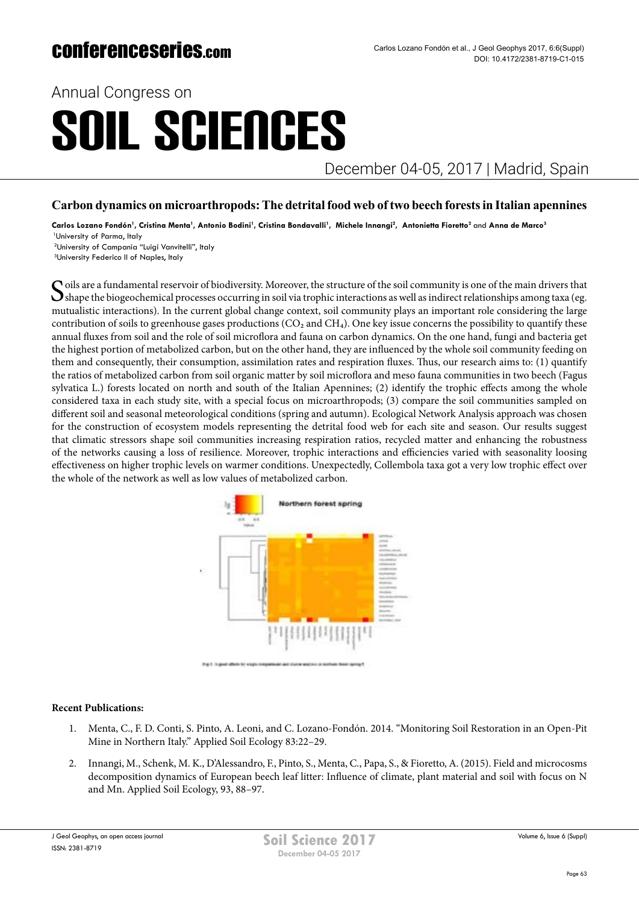Annual Congress on

# SOIL SCIENCES

December 04-05, 2017 | Madrid, Spain

### **Carbon dynamics on microarthropods: The detrital food web of two beech forests in Italian apennines**

Carlos Lozano Fondón<sup>1</sup>, Cristina Menta<sup>1</sup>, Antonio Bodini<sup>1</sup>, Cristina Bondavalli<sup>1</sup>, Michele Innangi<sup>2</sup>, Antonietta Fioretto<sup>2</sup> and Anna de Marco<sup>3</sup> 1University of Parma, Italy

<sup>2</sup>University of Campania "Luigi Vanvitelli", Italy

<sup>3</sup>University Federico II of Naples, Italy

Soils are a fundamental reservoir of biodiversity. Moreover, the structure of the soil community is one of the main drivers that shape the biogeochemical processes occurring in soil via trophic interactions as well as indirect relationships among taxa (eg. mutualistic interactions). In the current global change context, soil community plays an important role considering the large contribution of soils to greenhouse gases productions  $(CO_2$  and  $CH_4$ ). One key issue concerns the possibility to quantify these annual fluxes from soil and the role of soil microflora and fauna on carbon dynamics. On the one hand, fungi and bacteria get the highest portion of metabolized carbon, but on the other hand, they are influenced by the whole soil community feeding on them and consequently, their consumption, assimilation rates and respiration fluxes. Thus, our research aims to: (1) quantify the ratios of metabolized carbon from soil organic matter by soil microflora and meso fauna communities in two beech (Fagus sylvatica L.) forests located on north and south of the Italian Apennines; (2) identify the trophic effects among the whole considered taxa in each study site, with a special focus on microarthropods; (3) compare the soil communities sampled on different soil and seasonal meteorological conditions (spring and autumn). Ecological Network Analysis approach was chosen for the construction of ecosystem models representing the detrital food web for each site and season. Our results suggest that climatic stressors shape soil communities increasing respiration ratios, recycled matter and enhancing the robustness of the networks causing a loss of resilience. Moreover, trophic interactions and efficiencies varied with seasonality loosing effectiveness on higher trophic levels on warmer conditions. Unexpectedly, Collembola taxa got a very low trophic effect over the whole of the network as well as low values of metabolized carbon.



### **Recent Publications:**

- 1. Menta, C., F. D. Conti, S. Pinto, A. Leoni, and C. Lozano-Fondón. 2014. "Monitoring Soil Restoration in an Open-Pit Mine in Northern Italy." Applied Soil Ecology 83:22–29.
- 2. Innangi, M., Schenk, M. K., D'Alessandro, F., Pinto, S., Menta, C., Papa, S., & Fioretto, A. (2015). Field and microcosms decomposition dynamics of European beech leaf litter: Influence of climate, plant material and soil with focus on N and Mn. Applied Soil Ecology, 93, 88–97.